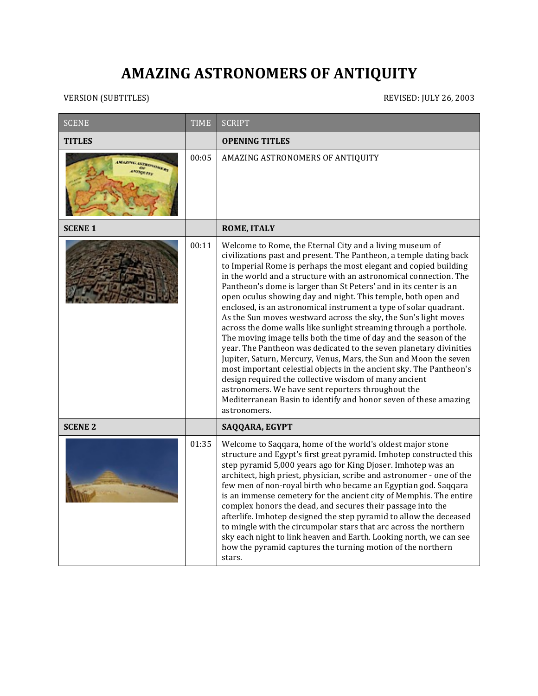## **AMAZING ASTRONOMERS OF ANTIQUITY**

VERSION (SUBTITLES) REVISED: JULY 26, 2003

| <b>SCENE</b>                        | <b>TIME</b> | <b>SCRIPT</b>                                                                                                                                                                                                                                                                                                                                                                                                                                                                                                                                                                                                                                                                                                                                                                                                                                                                                                                                                                                                                                                                                                        |
|-------------------------------------|-------------|----------------------------------------------------------------------------------------------------------------------------------------------------------------------------------------------------------------------------------------------------------------------------------------------------------------------------------------------------------------------------------------------------------------------------------------------------------------------------------------------------------------------------------------------------------------------------------------------------------------------------------------------------------------------------------------------------------------------------------------------------------------------------------------------------------------------------------------------------------------------------------------------------------------------------------------------------------------------------------------------------------------------------------------------------------------------------------------------------------------------|
| <b>TITLES</b>                       |             | <b>OPENING TITLES</b>                                                                                                                                                                                                                                                                                                                                                                                                                                                                                                                                                                                                                                                                                                                                                                                                                                                                                                                                                                                                                                                                                                |
| <b>UTADVOUTES</b><br><b>TROCKEY</b> | 00:05       | AMAZING ASTRONOMERS OF ANTIQUITY                                                                                                                                                                                                                                                                                                                                                                                                                                                                                                                                                                                                                                                                                                                                                                                                                                                                                                                                                                                                                                                                                     |
| <b>SCENE 1</b>                      |             | <b>ROME, ITALY</b>                                                                                                                                                                                                                                                                                                                                                                                                                                                                                                                                                                                                                                                                                                                                                                                                                                                                                                                                                                                                                                                                                                   |
|                                     | 00:11       | Welcome to Rome, the Eternal City and a living museum of<br>civilizations past and present. The Pantheon, a temple dating back<br>to Imperial Rome is perhaps the most elegant and copied building<br>in the world and a structure with an astronomical connection. The<br>Pantheon's dome is larger than St Peters' and in its center is an<br>open oculus showing day and night. This temple, both open and<br>enclosed, is an astronomical instrument a type of solar quadrant.<br>As the Sun moves westward across the sky, the Sun's light moves<br>across the dome walls like sunlight streaming through a porthole.<br>The moving image tells both the time of day and the season of the<br>year. The Pantheon was dedicated to the seven planetary divinities<br>Jupiter, Saturn, Mercury, Venus, Mars, the Sun and Moon the seven<br>most important celestial objects in the ancient sky. The Pantheon's<br>design required the collective wisdom of many ancient<br>astronomers. We have sent reporters throughout the<br>Mediterranean Basin to identify and honor seven of these amazing<br>astronomers. |
| <b>SCENE 2</b>                      |             | SAQQARA, EGYPT                                                                                                                                                                                                                                                                                                                                                                                                                                                                                                                                                                                                                                                                                                                                                                                                                                                                                                                                                                                                                                                                                                       |
|                                     | 01:35       | Welcome to Saqqara, home of the world's oldest major stone<br>structure and Egypt's first great pyramid. Imhotep constructed this<br>step pyramid 5,000 years ago for King Djoser. Imhotep was an<br>architect, high priest, physician, scribe and astronomer - one of the<br>few men of non-royal birth who became an Egyptian god. Saqqara<br>is an immense cemetery for the ancient city of Memphis. The entire<br>complex honors the dead, and secures their passage into the<br>afterlife. Imhotep designed the step pyramid to allow the deceased<br>to mingle with the circumpolar stars that arc across the northern<br>sky each night to link heaven and Earth. Looking north, we can see<br>how the pyramid captures the turning motion of the northern<br>stars.                                                                                                                                                                                                                                                                                                                                          |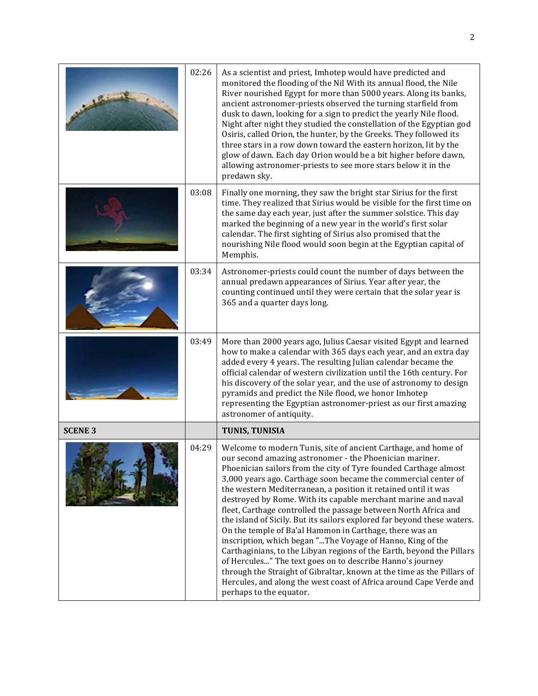|                | 02:26 | As a scientist and priest, Imhotep would have predicted and<br>monitored the flooding of the Nil With its annual flood, the Nile<br>River nourished Egypt for more than 5000 years. Along its banks,<br>ancient astronomer-priests observed the turning starfield from<br>dusk to dawn, looking for a sign to predict the yearly Nile flood.<br>Night after night they studied the constellation of the Egyptian god<br>Osiris, called Orion, the hunter, by the Greeks. They followed its<br>three stars in a row down toward the eastern horizon, lit by the<br>glow of dawn. Each day Orion would be a bit higher before dawn,<br>allowing astronomer-priests to see more stars below it in the<br>predawn sky.                                                                                                                                                                                                                                                                         |
|----------------|-------|--------------------------------------------------------------------------------------------------------------------------------------------------------------------------------------------------------------------------------------------------------------------------------------------------------------------------------------------------------------------------------------------------------------------------------------------------------------------------------------------------------------------------------------------------------------------------------------------------------------------------------------------------------------------------------------------------------------------------------------------------------------------------------------------------------------------------------------------------------------------------------------------------------------------------------------------------------------------------------------------|
|                | 03:08 | Finally one morning, they saw the bright star Sirius for the first<br>time. They realized that Sirius would be visible for the first time on<br>the same day each year, just after the summer solstice. This day<br>marked the beginning of a new year in the world's first solar<br>calendar. The first sighting of Sirius also promised that the<br>nourishing Nile flood would soon begin at the Egyptian capital of<br>Memphis.                                                                                                                                                                                                                                                                                                                                                                                                                                                                                                                                                        |
|                | 03:34 | Astronomer-priests could count the number of days between the<br>annual predawn appearances of Sirius. Year after year, the<br>counting continued until they were certain that the solar year is<br>365 and a quarter days long.                                                                                                                                                                                                                                                                                                                                                                                                                                                                                                                                                                                                                                                                                                                                                           |
|                | 03:49 | More than 2000 years ago, Julius Caesar visited Egypt and learned<br>how to make a calendar with 365 days each year, and an extra day<br>added every 4 years. The resulting Julian calendar became the<br>official calendar of western civilization until the 16th century. For<br>his discovery of the solar year, and the use of astronomy to design<br>pyramids and predict the Nile flood, we honor Imhotep<br>representing the Egyptian astronomer-priest as our first amazing<br>astronomer of antiquity.                                                                                                                                                                                                                                                                                                                                                                                                                                                                            |
| <b>SCENE 3</b> |       | TUNIS, TUNISIA                                                                                                                                                                                                                                                                                                                                                                                                                                                                                                                                                                                                                                                                                                                                                                                                                                                                                                                                                                             |
|                | 04:29 | Welcome to modern Tunis, site of ancient Carthage, and home of<br>our second amazing astronomer - the Phoenician mariner.<br>Phoenician sailors from the city of Tyre founded Carthage almost<br>3,000 years ago. Carthage soon became the commercial center of<br>the western Mediterranean, a position it retained until it was<br>destroyed by Rome. With its capable merchant marine and naval<br>fleet, Carthage controlled the passage between North Africa and<br>the island of Sicily. But its sailors explored far beyond these waters.<br>On the temple of Ba'al Hammon in Carthage, there was an<br>inscription, which began "The Voyage of Hanno, King of the<br>Carthaginians, to the Libyan regions of the Earth, beyond the Pillars<br>of Hercules" The text goes on to describe Hanno's journey<br>through the Straight of Gibraltar, known at the time as the Pillars of<br>Hercules, and along the west coast of Africa around Cape Verde and<br>perhaps to the equator. |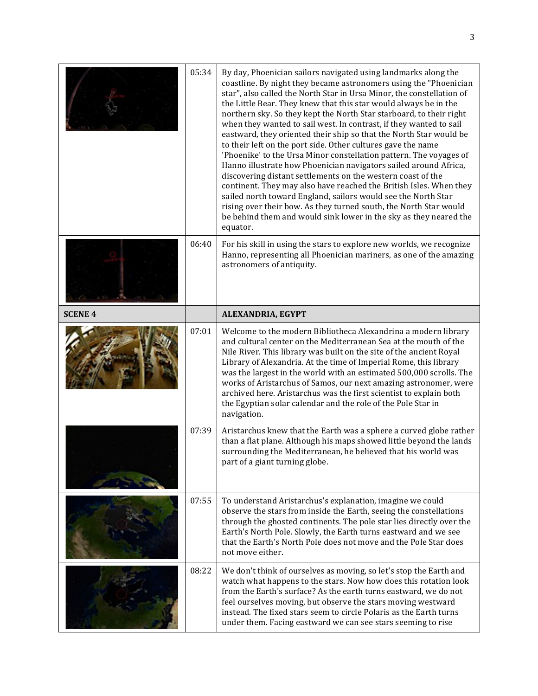|                | 05:34 | By day, Phoenician sailors navigated using landmarks along the<br>coastline. By night they became astronomers using the "Phoenician<br>star", also called the North Star in Ursa Minor, the constellation of<br>the Little Bear. They knew that this star would always be in the<br>northern sky. So they kept the North Star starboard, to their right<br>when they wanted to sail west. In contrast, if they wanted to sail<br>eastward, they oriented their ship so that the North Star would be<br>to their left on the port side. Other cultures gave the name<br>'Phoenike' to the Ursa Minor constellation pattern. The voyages of<br>Hanno illustrate how Phoenician navigators sailed around Africa,<br>discovering distant settlements on the western coast of the<br>continent. They may also have reached the British Isles. When they<br>sailed north toward England, sailors would see the North Star<br>rising over their bow. As they turned south, the North Star would<br>be behind them and would sink lower in the sky as they neared the<br>equator. |
|----------------|-------|---------------------------------------------------------------------------------------------------------------------------------------------------------------------------------------------------------------------------------------------------------------------------------------------------------------------------------------------------------------------------------------------------------------------------------------------------------------------------------------------------------------------------------------------------------------------------------------------------------------------------------------------------------------------------------------------------------------------------------------------------------------------------------------------------------------------------------------------------------------------------------------------------------------------------------------------------------------------------------------------------------------------------------------------------------------------------|
|                | 06:40 | For his skill in using the stars to explore new worlds, we recognize<br>Hanno, representing all Phoenician mariners, as one of the amazing<br>astronomers of antiquity.                                                                                                                                                                                                                                                                                                                                                                                                                                                                                                                                                                                                                                                                                                                                                                                                                                                                                                   |
| <b>SCENE 4</b> |       | ALEXANDRIA, EGYPT                                                                                                                                                                                                                                                                                                                                                                                                                                                                                                                                                                                                                                                                                                                                                                                                                                                                                                                                                                                                                                                         |
|                | 07:01 | Welcome to the modern Bibliotheca Alexandrina a modern library<br>and cultural center on the Mediterranean Sea at the mouth of the<br>Nile River. This library was built on the site of the ancient Royal<br>Library of Alexandria. At the time of Imperial Rome, this library<br>was the largest in the world with an estimated 500,000 scrolls. The<br>works of Aristarchus of Samos, our next amazing astronomer, were<br>archived here. Aristarchus was the first scientist to explain both<br>the Egyptian solar calendar and the role of the Pole Star in<br>navigation.                                                                                                                                                                                                                                                                                                                                                                                                                                                                                            |
|                | 07:39 | Aristarchus knew that the Earth was a sphere a curved globe rather<br>than a flat plane. Although his maps showed little beyond the lands<br>surrounding the Mediterranean, he believed that his world was<br>part of a giant turning globe.                                                                                                                                                                                                                                                                                                                                                                                                                                                                                                                                                                                                                                                                                                                                                                                                                              |
|                | 07:55 | To understand Aristarchus's explanation, imagine we could<br>observe the stars from inside the Earth, seeing the constellations<br>through the ghosted continents. The pole star lies directly over the<br>Earth's North Pole. Slowly, the Earth turns eastward and we see<br>that the Earth's North Pole does not move and the Pole Star does<br>not move either.                                                                                                                                                                                                                                                                                                                                                                                                                                                                                                                                                                                                                                                                                                        |
|                | 08:22 | We don't think of ourselves as moving, so let's stop the Earth and                                                                                                                                                                                                                                                                                                                                                                                                                                                                                                                                                                                                                                                                                                                                                                                                                                                                                                                                                                                                        |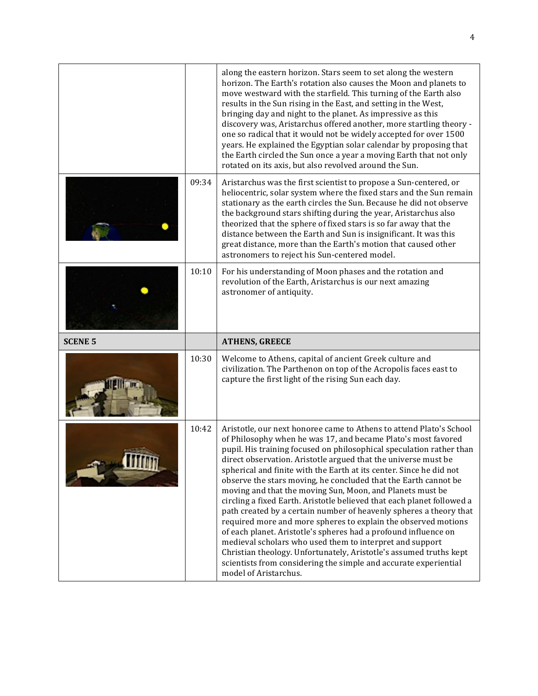|                |       | along the eastern horizon. Stars seem to set along the western<br>horizon. The Earth's rotation also causes the Moon and planets to<br>move westward with the starfield. This turning of the Earth also<br>results in the Sun rising in the East, and setting in the West,<br>bringing day and night to the planet. As impressive as this<br>discovery was, Aristarchus offered another, more startling theory -<br>one so radical that it would not be widely accepted for over 1500<br>years. He explained the Egyptian solar calendar by proposing that<br>the Earth circled the Sun once a year a moving Earth that not only<br>rotated on its axis, but also revolved around the Sun. |
|----------------|-------|--------------------------------------------------------------------------------------------------------------------------------------------------------------------------------------------------------------------------------------------------------------------------------------------------------------------------------------------------------------------------------------------------------------------------------------------------------------------------------------------------------------------------------------------------------------------------------------------------------------------------------------------------------------------------------------------|
|                | 09:34 | Aristarchus was the first scientist to propose a Sun-centered, or<br>heliocentric, solar system where the fixed stars and the Sun remain<br>stationary as the earth circles the Sun. Because he did not observe<br>the background stars shifting during the year, Aristarchus also<br>theorized that the sphere of fixed stars is so far away that the<br>distance between the Earth and Sun is insignificant. It was this<br>great distance, more than the Earth's motion that caused other<br>astronomers to reject his Sun-centered model.                                                                                                                                              |
|                | 10:10 | For his understanding of Moon phases and the rotation and<br>revolution of the Earth, Aristarchus is our next amazing<br>astronomer of antiquity.                                                                                                                                                                                                                                                                                                                                                                                                                                                                                                                                          |
|                |       |                                                                                                                                                                                                                                                                                                                                                                                                                                                                                                                                                                                                                                                                                            |
| <b>SCENE 5</b> |       | <b>ATHENS, GREECE</b>                                                                                                                                                                                                                                                                                                                                                                                                                                                                                                                                                                                                                                                                      |
|                | 10:30 | Welcome to Athens, capital of ancient Greek culture and<br>civilization. The Parthenon on top of the Acropolis faces east to<br>capture the first light of the rising Sun each day.                                                                                                                                                                                                                                                                                                                                                                                                                                                                                                        |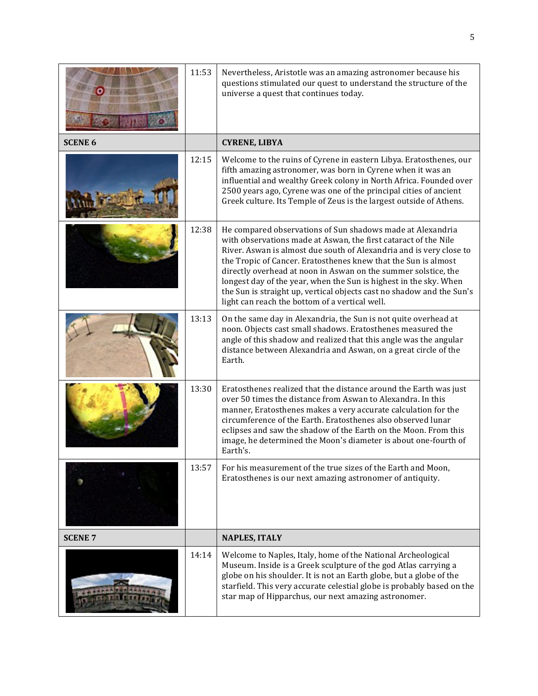|                | 11:53 | Nevertheless, Aristotle was an amazing astronomer because his<br>questions stimulated our quest to understand the structure of the<br>universe a quest that continues today.                                                                                                                                                                                                                                                                                                                                                             |
|----------------|-------|------------------------------------------------------------------------------------------------------------------------------------------------------------------------------------------------------------------------------------------------------------------------------------------------------------------------------------------------------------------------------------------------------------------------------------------------------------------------------------------------------------------------------------------|
| <b>SCENE 6</b> |       | <b>CYRENE, LIBYA</b>                                                                                                                                                                                                                                                                                                                                                                                                                                                                                                                     |
|                | 12:15 | Welcome to the ruins of Cyrene in eastern Libya. Eratosthenes, our<br>fifth amazing astronomer, was born in Cyrene when it was an<br>influential and wealthy Greek colony in North Africa. Founded over<br>2500 years ago, Cyrene was one of the principal cities of ancient<br>Greek culture. Its Temple of Zeus is the largest outside of Athens.                                                                                                                                                                                      |
|                | 12:38 | He compared observations of Sun shadows made at Alexandria<br>with observations made at Aswan, the first cataract of the Nile<br>River. Aswan is almost due south of Alexandria and is very close to<br>the Tropic of Cancer. Eratosthenes knew that the Sun is almost<br>directly overhead at noon in Aswan on the summer solstice, the<br>longest day of the year, when the Sun is highest in the sky. When<br>the Sun is straight up, vertical objects cast no shadow and the Sun's<br>light can reach the bottom of a vertical well. |
|                | 13:13 | On the same day in Alexandria, the Sun is not quite overhead at<br>noon. Objects cast small shadows. Eratosthenes measured the<br>angle of this shadow and realized that this angle was the angular<br>distance between Alexandria and Aswan, on a great circle of the<br>Earth.                                                                                                                                                                                                                                                         |
|                | 13:30 | Eratosthenes realized that the distance around the Earth was just<br>over 50 times the distance from Aswan to Alexandra. In this<br>manner, Eratosthenes makes a very accurate calculation for the<br>circumference of the Earth. Eratosthenes also observed lunar<br>eclipses and saw the shadow of the Earth on the Moon. From this<br>image, he determined the Moon's diameter is about one-fourth of<br>Earth's.                                                                                                                     |
|                | 13:57 | For his measurement of the true sizes of the Earth and Moon,<br>Eratosthenes is our next amazing astronomer of antiquity.                                                                                                                                                                                                                                                                                                                                                                                                                |
| <b>SCENE 7</b> |       | <b>NAPLES, ITALY</b>                                                                                                                                                                                                                                                                                                                                                                                                                                                                                                                     |
|                | 14:14 | Welcome to Naples, Italy, home of the National Archeological<br>Museum. Inside is a Greek sculpture of the god Atlas carrying a<br>globe on his shoulder. It is not an Earth globe, but a globe of the<br>starfield. This very accurate celestial globe is probably based on the<br>star map of Hipparchus, our next amazing astronomer.                                                                                                                                                                                                 |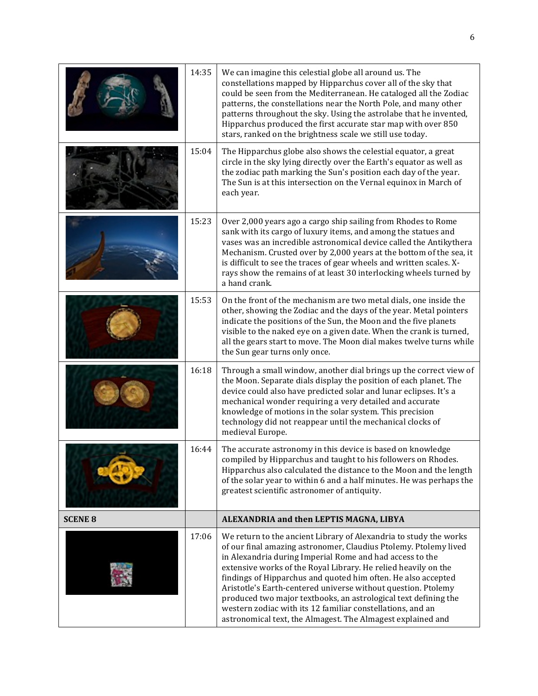|                | 14:35 | We can imagine this celestial globe all around us. The<br>constellations mapped by Hipparchus cover all of the sky that<br>could be seen from the Mediterranean. He cataloged all the Zodiac<br>patterns, the constellations near the North Pole, and many other<br>patterns throughout the sky. Using the astrolabe that he invented,<br>Hipparchus produced the first accurate star map with over 850<br>stars, ranked on the brightness scale we still use today.                                                                                                                                  |
|----------------|-------|-------------------------------------------------------------------------------------------------------------------------------------------------------------------------------------------------------------------------------------------------------------------------------------------------------------------------------------------------------------------------------------------------------------------------------------------------------------------------------------------------------------------------------------------------------------------------------------------------------|
|                | 15:04 | The Hipparchus globe also shows the celestial equator, a great<br>circle in the sky lying directly over the Earth's equator as well as<br>the zodiac path marking the Sun's position each day of the year.<br>The Sun is at this intersection on the Vernal equinox in March of<br>each year.                                                                                                                                                                                                                                                                                                         |
|                | 15:23 | Over 2,000 years ago a cargo ship sailing from Rhodes to Rome<br>sank with its cargo of luxury items, and among the statues and<br>vases was an incredible astronomical device called the Antikythera<br>Mechanism. Crusted over by 2,000 years at the bottom of the sea, it<br>is difficult to see the traces of gear wheels and written scales. X-<br>rays show the remains of at least 30 interlocking wheels turned by<br>a hand crank.                                                                                                                                                           |
|                | 15:53 | On the front of the mechanism are two metal dials, one inside the<br>other, showing the Zodiac and the days of the year. Metal pointers<br>indicate the positions of the Sun, the Moon and the five planets<br>visible to the naked eye on a given date. When the crank is turned,<br>all the gears start to move. The Moon dial makes twelve turns while<br>the Sun gear turns only once.                                                                                                                                                                                                            |
|                | 16:18 | Through a small window, another dial brings up the correct view of<br>the Moon. Separate dials display the position of each planet. The<br>device could also have predicted solar and lunar eclipses. It's a<br>mechanical wonder requiring a very detailed and accurate<br>knowledge of motions in the solar system. This precision<br>technology did not reappear until the mechanical clocks of<br>medieval Europe.                                                                                                                                                                                |
|                | 16:44 | The accurate astronomy in this device is based on knowledge<br>compiled by Hipparchus and taught to his followers on Rhodes.<br>Hipparchus also calculated the distance to the Moon and the length<br>of the solar year to within 6 and a half minutes. He was perhaps the<br>greatest scientific astronomer of antiquity.                                                                                                                                                                                                                                                                            |
| <b>SCENE 8</b> |       | ALEXANDRIA and then LEPTIS MAGNA, LIBYA                                                                                                                                                                                                                                                                                                                                                                                                                                                                                                                                                               |
|                | 17:06 | We return to the ancient Library of Alexandria to study the works<br>of our final amazing astronomer, Claudius Ptolemy. Ptolemy lived<br>in Alexandria during Imperial Rome and had access to the<br>extensive works of the Royal Library. He relied heavily on the<br>findings of Hipparchus and quoted him often. He also accepted<br>Aristotle's Earth-centered universe without question. Ptolemy<br>produced two major textbooks, an astrological text defining the<br>western zodiac with its 12 familiar constellations, and an<br>astronomical text, the Almagest. The Almagest explained and |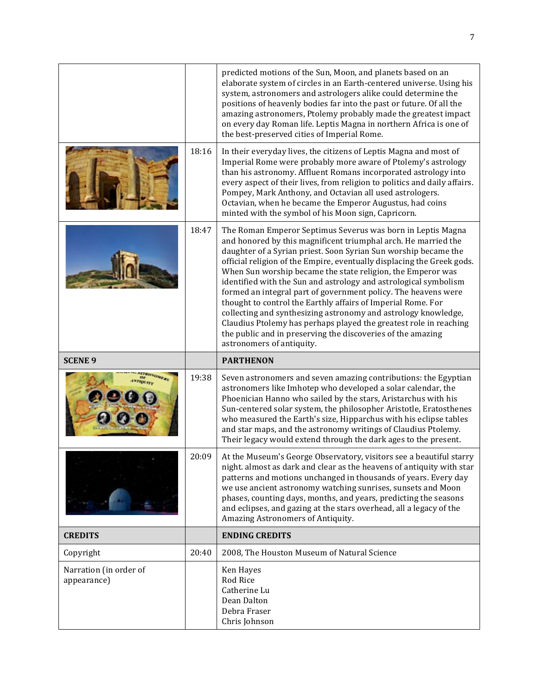|                |       | predicted motions of the Sun, Moon, and planets based on an<br>elaborate system of circles in an Earth-centered universe. Using his<br>system, astronomers and astrologers alike could determine the<br>positions of heavenly bodies far into the past or future. Of all the<br>amazing astronomers, Ptolemy probably made the greatest impact<br>on every day Roman life. Leptis Magna in northern Africa is one of<br>the best-preserved cities of Imperial Rome.                                                                                                                                                                                                                                                                                                                |
|----------------|-------|------------------------------------------------------------------------------------------------------------------------------------------------------------------------------------------------------------------------------------------------------------------------------------------------------------------------------------------------------------------------------------------------------------------------------------------------------------------------------------------------------------------------------------------------------------------------------------------------------------------------------------------------------------------------------------------------------------------------------------------------------------------------------------|
|                | 18:16 | In their everyday lives, the citizens of Leptis Magna and most of<br>Imperial Rome were probably more aware of Ptolemy's astrology<br>than his astronomy. Affluent Romans incorporated astrology into<br>every aspect of their lives, from religion to politics and daily affairs.<br>Pompey, Mark Anthony, and Octavian all used astrologers.<br>Octavian, when he became the Emperor Augustus, had coins<br>minted with the symbol of his Moon sign, Capricorn.                                                                                                                                                                                                                                                                                                                  |
|                | 18:47 | The Roman Emperor Septimus Severus was born in Leptis Magna<br>and honored by this magnificent triumphal arch. He married the<br>daughter of a Syrian priest. Soon Syrian Sun worship became the<br>official religion of the Empire, eventually displacing the Greek gods.<br>When Sun worship became the state religion, the Emperor was<br>identified with the Sun and astrology and astrological symbolism<br>formed an integral part of government policy. The heavens were<br>thought to control the Earthly affairs of Imperial Rome. For<br>collecting and synthesizing astronomy and astrology knowledge,<br>Claudius Ptolemy has perhaps played the greatest role in reaching<br>the public and in preserving the discoveries of the amazing<br>astronomers of antiquity. |
|                |       |                                                                                                                                                                                                                                                                                                                                                                                                                                                                                                                                                                                                                                                                                                                                                                                    |
| <b>SCENE 9</b> |       | <b>PARTHENON</b>                                                                                                                                                                                                                                                                                                                                                                                                                                                                                                                                                                                                                                                                                                                                                                   |
|                | 19:38 | Seven astronomers and seven amazing contributions: the Egyptian<br>astronomers like Imhotep who developed a solar calendar, the<br>Phoenician Hanno who sailed by the stars, Aristarchus with his<br>Sun-centered solar system, the philosopher Aristotle, Eratosthenes<br>who measured the Earth's size, Hipparchus with his eclipse tables<br>and star maps, and the astronomy writings of Claudius Ptolemy.<br>Their legacy would extend through the dark ages to the present.                                                                                                                                                                                                                                                                                                  |
|                | 20:09 | At the Museum's George Observatory, visitors see a beautiful starry<br>night. almost as dark and clear as the heavens of antiquity with star<br>patterns and motions unchanged in thousands of years. Every day<br>we use ancient astronomy watching sunrises, sunsets and Moon<br>phases, counting days, months, and years, predicting the seasons<br>and eclipses, and gazing at the stars overhead, all a legacy of the<br>Amazing Astronomers of Antiquity.                                                                                                                                                                                                                                                                                                                    |
| <b>CREDITS</b> |       | <b>ENDING CREDITS</b>                                                                                                                                                                                                                                                                                                                                                                                                                                                                                                                                                                                                                                                                                                                                                              |
| Copyright      | 20:40 | 2008, The Houston Museum of Natural Science                                                                                                                                                                                                                                                                                                                                                                                                                                                                                                                                                                                                                                                                                                                                        |